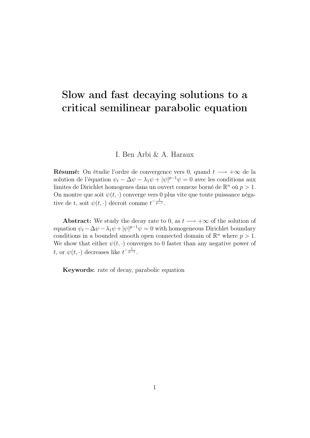# Slow and fast decaying solutions to a critical semilinear parabolic equation

#### I. Ben Arbi & A. Haraux

**Résumé:** On étudie l'ordre de convergence vers 0, quand  $t \rightarrow +\infty$  de la solution de l'équation  $\psi_t - \Delta \psi - \lambda_1 \psi + |\psi|^{p-1} \psi = 0$  avec les conditions aux limites de Dirichlet homogenes dans un ouvert connexe borné de  $\mathbb{R}^n$  où  $p > 1$ . On montre que soit  $\psi(t, \cdot)$  converge vers 0 plus vite que toute puissance négative de t, soit  $\psi(t, \cdot)$  décroit comme  $t^{-\frac{1}{p-1}}$ .

Abstract: We study the decay rate to 0, as  $t \rightarrow +\infty$  of the solution of equation  $\psi_t - \Delta \psi - \lambda_1 \psi + |\psi|^{p-1} \psi = 0$  with homogeneous Dirichlet boundary conditions in a bounded smooth open connected domain of  $\mathbb{R}^n$  where  $p > 1$ . We show that either  $\psi(t, \cdot)$  converges to 0 faster than any negative power of t, or  $\psi(t, \cdot)$  decreases like  $t^{-\frac{1}{p-1}}$ .

Keywords: rate of decay, parabolic equation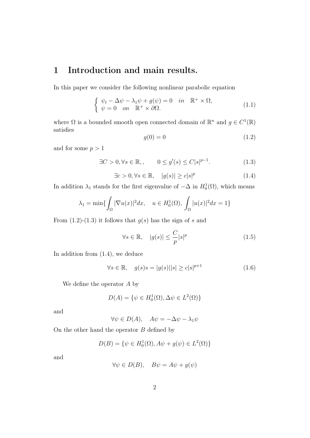## 1 Introduction and main results.

In this paper we consider the following nonlinear parabolic equation

$$
\begin{cases}\n\psi_t - \Delta \psi - \lambda_1 \psi + g(\psi) = 0 & in \mathbb{R}^+ \times \Omega, \\
\psi = 0 & on \mathbb{R}^+ \times \partial \Omega.\n\end{cases}
$$
\n(1.1)

where  $\Omega$  is a bounded smooth open connected domain of  $\mathbb{R}^n$  and  $g \in C^1(\mathbb{R})$ satisfies

$$
g(0) = 0 \tag{1.2}
$$

and for some  $p > 1$ 

$$
\exists C > 0, \forall s \in \mathbb{R}, \qquad 0 \le g'(s) \le C|s|^{p-1}.\tag{1.3}
$$

$$
\exists c > 0, \forall s \in \mathbb{R}, \quad |g(s)| \ge c|s|^p \tag{1.4}
$$

In addition  $\lambda_1$  stands for the first eigenvalue of  $-\Delta$  in  $H_0^1(\Omega)$ , which means

$$
\lambda_1 = \min\{\int_{\Omega} |\nabla u(x)|^2 dx, \quad u \in H_0^1(\Omega), \int_{\Omega} |u(x)|^2 dx = 1\}
$$

From  $(1.2)-(1.3)$  it follows that  $g(s)$  has the sign of s and

$$
\forall s \in \mathbb{R}, \quad |g(s)| \le \frac{C}{p} |s|^p \tag{1.5}
$$

In addition from (1.4), we deduce

$$
\forall s \in \mathbb{R}, \quad g(s)s = |g(s)||s| \ge c|s|^{p+1}
$$
\n(1.6)

We define the operator A by

$$
D(A) = \{ \psi \in H_0^1(\Omega), \Delta \psi \in L^2(\Omega) \}
$$

and

$$
\forall \psi \in D(A), \quad A\psi = -\Delta \psi - \lambda_1 \psi
$$

On the other hand the operator  $B$  defined by

$$
D(B) = \{ \psi \in H_0^1(\Omega), A\psi + g(\psi) \in L^2(\Omega) \}
$$

and

$$
\forall \psi \in D(B), \quad B\psi = A\psi + g(\psi)
$$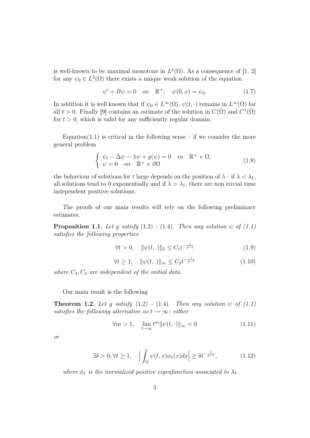is well-known to be maximal monotone in  $L^2(\Omega)$ . As a consequence of [1, 2] for any  $\psi_0 \in L^2(\Omega)$  there exists a unique weak solution of the equation

$$
\psi' + B\psi = 0 \quad on \quad \mathbb{R}^+; \quad \psi(0, x) = \psi_0. \tag{1.7}
$$

In addition it is well known that if  $\psi_0 \in L^{\infty}(\Omega)$ ,  $\psi(t, \cdot)$  remains in  $L^{\infty}(\Omega)$  for all  $t > 0$ . Finally [9] contains an estimate of the solution in  $C(\bar{\Omega})$  and  $C^1(\bar{\Omega})$ for  $t > 0$ , which is valid for any sufficiently regular domain.

Equation(1.1) is critical in the following sense : if we consider the more general problem

$$
\begin{cases}\n\psi_t - \Delta \psi - \lambda \psi + g(\psi) = 0 & \text{in } \mathbb{R}^+ \times \Omega, \\
\psi = 0 & \text{on } \mathbb{R}^+ \times \partial \Omega\n\end{cases}
$$
\n(1.8)

the behaviour of solutions for t large depends on the position of  $\lambda$ : if  $\lambda < \lambda_1$ , all solutions tend to 0 exponentially and if  $\lambda > \lambda_1$ , there are non trivial time independent positive solutions.

The proofs of our main results will rely on the following preliminary estimates.

**Proposition 1.1.** Let g satisfy  $(1.2)$  -  $(1.4)$ . Then any solution  $\psi$  of  $(1.1)$ satisfies the following properties

$$
\forall t > 0, \quad \|\psi(t,.)\|_2 \le C_1 t^{-\frac{1}{p-1}} \tag{1.9}
$$

$$
\forall t \ge 1, \quad \|\psi(t,.)\|_{\infty} \le C_2 t^{-\frac{1}{p-1}} \tag{1.10}
$$

where  $C_1, C_2$  are independent of the initial data.

Our main result is the following

**Theorem 1.2.** Let g satisfy  $(1.2)$  -  $(1.4)$ . Then any solution  $\psi$  of  $(1.1)$ satisfies the following alternative as  $t \to \infty$ : either

$$
\forall m > 1, \quad \lim_{t \to \infty} t^m \|\psi(t, \cdot)\|_{\infty} = 0 \tag{1.11}
$$

or

$$
\exists \delta > 0, \forall t \ge 1, \quad \left| \int_{\Omega} \psi(t, x) \phi_1(x) dx \right| \ge \delta t^{-\frac{1}{p-1}}, \tag{1.12}
$$

where  $\phi_1$  is the normalized positive eigenfunction associated to  $\lambda_1$ .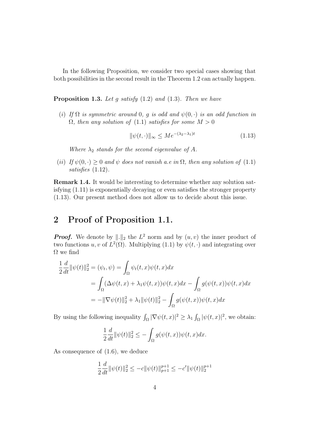In the following Proposition, we consider two special cases showing that both possibilities in the second result in the Theorem 1.2 can actually happen.

**Proposition 1.3.** Let g satisfy  $(1.2)$  and  $(1.3)$ . Then we have

(i) If  $\Omega$  is symmetric around 0, g is odd and  $\psi(0, \cdot)$  is an odd function in  $\Omega$ , then any solution of (1.1) satisfies for some  $M > 0$ 

$$
\|\psi(t,\cdot)\|_{\infty} \le Me^{-(\lambda_2 - \lambda_1)t} \tag{1.13}
$$

Where  $\lambda_2$  stands for the second eigenvalue of A.

(ii) If  $\psi(0, \cdot) \geq 0$  and  $\psi$  does not vanish a.e in  $\Omega$ , then any solution of (1.1) satisfies  $(1.12)$ .

Remark 1.4. It would be interesting to determine whether any solution satisfying (1.11) is exponentially decaying or even satisfies the stronger property (1.13). Our present method does not allow us to decide about this issue.

#### 2 Proof of Proposition 1.1.

**Proof.** We denote by  $\|\cdot\|_2$  the  $L^2$  norm and by  $(u, v)$  the inner product of two functions u, v of  $L^2(\Omega)$ . Multiplying (1.1) by  $\psi(t, \cdot)$  and integrating over  $\Omega$  we find

$$
\frac{1}{2}\frac{d}{dt}\|\psi(t)\|_2^2 = (\psi_t, \psi) = \int_{\Omega} \psi_t(t, x)\psi(t, x)dx
$$
  
\n
$$
= \int_{\Omega} (\Delta\psi(t, x) + \lambda_1\psi(t, x))\psi(t, x)dx - \int_{\Omega} g(\psi(t, x))\psi(t, x)dx
$$
  
\n
$$
= -\|\nabla\psi(t)\|_2^2 + \lambda_1\|\psi(t)\|_2^2 - \int_{\Omega} g(\psi(t, x))\psi(t, x)dx
$$

By using the following inequality  $\int_{\Omega} |\nabla \psi(t,x)|^2 \geq \lambda_1 \int_{\Omega} |\psi(t,x)|^2$ , we obtain:

$$
\frac{1}{2}\frac{d}{dt}\|\psi(t)\|_2^2 \le -\int_{\Omega} g(\psi(t,x))\psi(t,x)dx.
$$

As consequence of (1.6), we deduce

$$
\frac{1}{2}\frac{d}{dt}\|\psi(t)\|_2^2 \le -c\|\psi(t)\|_{p+1}^{p+1} \le -c'\|\psi(t)\|_2^{p+1}
$$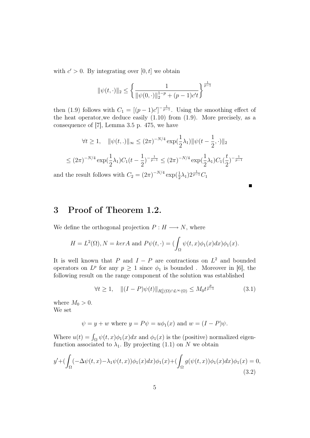with  $c' > 0$ . By integrating over  $[0, t]$  we obtain

$$
\|\psi(t,\cdot)\|_2 \le \left\{\frac{1}{\|\psi(0,\cdot)\|_2^{1-p} + (p-1)c't}\right\}^{\frac{1}{p-1}}
$$

then (1.9) follows with  $C_1 = [(p-1)c']^{-\frac{1}{p-1}}$ . Using the smoothing effect of the heat operator, we deduce easily  $(1.10)$  from  $(1.9)$ . More precisely, as a consequence of [7], Lemma 3.5 p. 475, we have

$$
\forall t \ge 1, \quad \|\psi(t,.)\|_{\infty} \le (2\pi)^{-N/4} \exp\left(\frac{1}{2}\lambda_1\right) \|\psi(t - \frac{1}{2},.)\|_2
$$
  

$$
\le (2\pi)^{-N/4} \exp\left(\frac{1}{2}\lambda_1\right) C_1 (t - \frac{1}{2})^{-\frac{1}{p-1}} \le (2\pi)^{-N/4} \exp\left(\frac{1}{2}\lambda_1\right) C_1 \left(\frac{t}{2}\right)^{-\frac{1}{p-1}}
$$

and the result follows with  $C_2 = (2\pi)^{-N/4} \exp(\frac{1}{2}\lambda_1) 2^{\frac{1}{p-1}} C_1$ 

### 3 Proof of Theorem 1.2.

We define the orthogonal projection  $P : H \longrightarrow N$ , where

$$
H = L^{2}(\Omega), N = ker A \text{ and } P\psi(t, \cdot) = \left(\int_{\Omega} \psi(t, x)\phi_{1}(x)dx\right)\phi_{1}(x).
$$

It is well known that P and  $I - P$  are contractions on  $L^2$  and bounded operators on  $L^p$  for any  $p \geq 1$  since  $\phi_1$  is bounded. Moreover in [6], the following result on the range component of the solution was established

$$
\forall t \ge 1, \quad \| (I - P)\psi(t) \|_{H_0^1(\Omega) \cap L^\infty(\Omega)} \le M_0 t^{\frac{p}{p-1}} \tag{3.1}
$$

where  $M_0 > 0$ . We set

$$
\psi = y + w
$$
 where  $y = P\psi = u\phi_1(x)$  and  $w = (I - P)\psi$ .

Where  $u(t) = \int_{\Omega} \psi(t, x) \phi_1(x) dx$  and  $\phi_1(x)$  is the (positive) normalized eigenfunction associated to  $\lambda_1$ . By projecting (1.1) on N we obtain

$$
y' + \left(\int_{\Omega} (-\Delta \psi(t, x) - \lambda_1 \psi(t, x)) \phi_1(x) dx\right) \phi_1(x) + \left(\int_{\Omega} g(\psi(t, x)) \phi_1(x) dx\right) \phi_1(x) = 0,
$$
\n(3.2)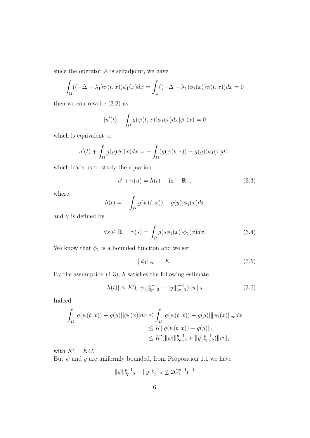since the operator  $A$  is selfadjoint, we have

$$
\int_{\Omega} ((-\Delta - \lambda_1)\psi(t, x))\phi_1(x)dx = \int_{\Omega} ((-\Delta - \lambda_1)\phi_1(x))\psi(t, x))dx = 0
$$

then we can rewrite (3.2) as

$$
[u'(t) + \int_{\Omega} g(\psi(t,x))\phi_1(x)dx]\phi_1(x) = 0
$$

which is equivalent to

$$
u'(t) + \int_{\Omega} g(y)\phi_1(x)dx = -\int_{\Omega} (g(\psi(t,x)) - g(y))\phi_1(x)dx.
$$

which leads us to study the equation:

$$
u' + \gamma(u) = h(t) \quad \text{in} \quad \mathbb{R}^+, \tag{3.3}
$$

where

$$
h(t) = -\int_{\Omega} [g(\psi(t,x)) - g(y)]\phi_1(x)dx
$$

and  $\gamma$  is defined by

$$
\forall s \in \mathbb{R}, \quad \gamma(s) = \int_{\Omega} g(s\phi_1(x))\phi_1(x)dx. \tag{3.4}
$$

We know that  $\phi_1$  is a bounded function and we set

$$
\|\phi_1\|_{\infty} =: K. \tag{3.5}
$$

By the assumption  $(1.3)$ , h satisfies the following estimate

$$
|h(t)| \le K'(\|\psi\|\|_{2p-2}^{p-1} + \|y\|_{2p-2}^{p-1}) \|w\|_2.
$$
 (3.6)

Indeed

$$
\int_{\Omega} |g(\psi(t,x)) - g(y)||\phi_1(x)|dx \leq \int_{\Omega} |g(\psi(t,x)) - g(y)||\phi_1(x)||_{\infty}dx
$$
  
\n
$$
\leq K ||g(\psi(t,x)) - g(y)||_1
$$
  
\n
$$
\leq K'(||\psi||_{2p-2}^{p-1} + ||y||_{2p-2}^{p-1})||w||_2
$$

with  $K' = KC$ .

But  $\psi$  and  $y$  are uniformly bounded, from Proposition 1.1 we have

$$
\|\psi\|_{2p-2}^{p-1} + \|y\|_{2p-2}^{p-1} \le 2C_1^{p-1}t^{-1}
$$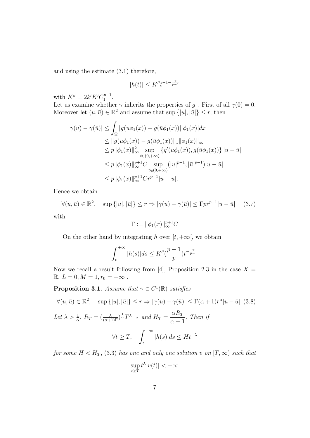and using the estimate (3.1) therefore,

$$
|h(t)| \le K'' t^{-1 - \frac{p}{p-1}}
$$

with  $K'' = 2k'K'C_1^{p-1}$  $1^{p-1}$ .

Let us examine whether  $\gamma$  inherits the properties of  $g$  . First of all  $\gamma(0)=0.$ Moreover let  $(u, \bar{u}) \in \mathbb{R}^2$  and assume that sup  $\{|u|, |\bar{u}|\} \leq r$ , then

$$
|\gamma(u) - \gamma(\bar{u})| \leq \int_{\Omega} |g(u\phi_1(x)) - g(\bar{u}\phi_1(x))||\phi_1(x)|dx
$$
  
\n
$$
\leq ||g(u\phi_1(x)) - g(\bar{u}\phi_1(x))||_1 ||\phi_1(x)||_{\infty}
$$
  
\n
$$
\leq p||\phi_1(x)||_{\infty}^2 \sup_{t \in (0, +\infty)} \{g'(u\phi_1(x)), g(\bar{u}\phi_1(x))\} |u - \bar{u}|
$$
  
\n
$$
\leq p||\phi_1(x)||_{\infty}^{p+1}C \sup_{t \in (0, +\infty)} (|u|^{p-1}, |\bar{u}|^{p-1})|u - \bar{u}|
$$
  
\n
$$
\leq p||\phi_1(x)||_{\infty}^{p+1}Cr^{p-1}|u - \bar{u}|.
$$

Hence we obtain

$$
\forall (u, \bar{u}) \in \mathbb{R}^2, \quad \sup\{|u|, |\bar{u}|\} \le r \Rightarrow |\gamma(u) - \gamma(\bar{u})| \le \Gamma pr^{p-1} |u - \bar{u}| \tag{3.7}
$$

with

$$
\Gamma := \|\phi_1(x)\|_{\infty}^{p+1}C
$$

On the other hand by integrating h over  $[t, +\infty]$ , we obtain

$$
\int_{t}^{+\infty} |h(s)|ds \leq K''\left(\frac{p-1}{p}\right)t^{-\frac{p}{p-1}}
$$

Now we recall a result following from [4], Proposition 2.3 in the case  $X =$  $\mathbb{R},\, L=0, M=1, r_0=+\infty$  .

**Proposition 3.1.** Assume that  $\gamma \in C^1(\mathbb{R})$  satisfies

$$
\forall (u, \bar{u}) \in \mathbb{R}^2, \quad \sup\{|u|, |\bar{u}|\} \le r \Rightarrow |\gamma(u) - \gamma(\bar{u})| \le \Gamma(\alpha + 1)r^{\alpha}|u - \bar{u}| \tag{3.8}
$$

Let 
$$
\lambda > \frac{1}{\alpha}
$$
,  $R_T = (\frac{\lambda}{(\alpha+1)\Gamma})^{\frac{1}{\alpha}} T^{\lambda - \frac{1}{\alpha}}$  and  $H_T = \frac{\alpha R_T}{\alpha + 1}$ . Then if  
 $\forall t \ge T$ ,  $\int_t^{+\infty} |h(s)| ds \le H t^{-\lambda}$ 

for some  $H < H_T$ , (3.3) has one and only one solution v on  $[T, \infty)$  such that

$$
\sup_{t\geq T} t^{\lambda} |v(t)| < +\infty
$$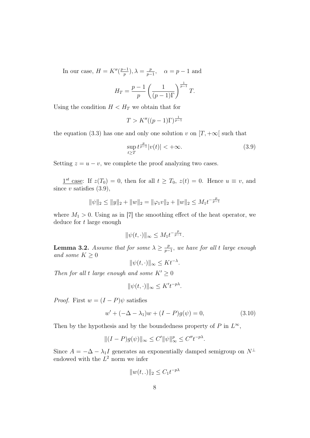In our case,  $H = K''(\frac{p-1}{p})$  $(\frac{-1}{p}), \lambda = \frac{p}{p-1}$  $\frac{p}{p-1}$ ,  $\alpha = p-1$  and

$$
H_T = \frac{p-1}{p} \left( \frac{1}{(p-1)\Gamma} \right)^{\frac{1}{p-1}} T.
$$

Using the condition  $H < H_T$  we obtain that for

$$
T > K''((p-1)\Gamma)^{\frac{1}{p-1}}
$$

the equation (3.3) has one and only one solution v on  $[T, +\infty]$  such that

$$
\sup_{t\geq T} t^{\frac{p}{p-1}}|v(t)| < +\infty.
$$
\n(3.9)

Setting  $z = u - v$ , we complete the proof analyzing two cases.

 $1^{st}$  case: If  $z(T_0) = 0$ , then for all  $t \geq T_0$ ,  $z(t) = 0$ . Hence  $u \equiv v$ , and since  $v$  satisfies  $(3.9)$ ,

$$
\|\psi\|_2 \le \|y\|_2 + \|w\|_2 = \|\varphi_1 v\|_2 + \|w\|_2 \le M_1 t^{-\frac{p}{p-1}}
$$

where  $M_1 > 0$ . Using as in [7] the smoothing effect of the heat operator, we deduce for  $t$  large enough

$$
\|\psi(t,\cdot)\|_{\infty} \leq M_1 t^{-\frac{p}{p-1}}.
$$

**Lemma 3.2.** Assume that for some  $\lambda \geq \frac{p}{n}$  $\frac{p}{p-1}$ , we have for all t large enough and some  $K \geq 0$ 

 $\|\psi(t, \cdot)\|_{\infty} \leq K t^{-\lambda}.$ 

Then for all t large enough and some  $K' \geq 0$ 

$$
\|\psi(t,\cdot)\|_{\infty} \leq K't^{-p\lambda}.
$$

*Proof.* First  $w = (I - P)\psi$  satisfies

$$
w' + (-\Delta - \lambda_1)w + (I - P)g(\psi) = 0,
$$
\n(3.10)

Then by the hypothesis and by the boundedness property of P in  $L^{\infty}$ ,

$$
||(I-P)g(\psi)||_{\infty} \le C' ||\psi||_{\infty}^p \le C'' t^{-p\lambda}.
$$

Since  $A = -\Delta - \lambda_1 I$  generates an exponentially damped semigroup on  $N^{\perp}$ endowed with the  $L^2$  norm we infer

$$
||w(t,.)||_2 \leq C_1 t^{-p\lambda}
$$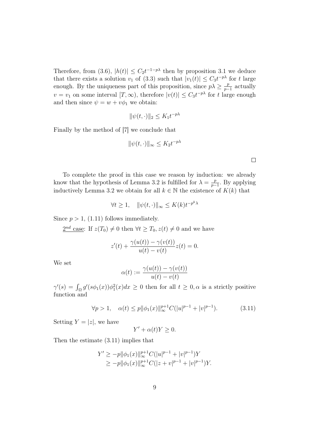Therefore, from (3.6),  $|h(t)| \leq C_2 t^{-1-p\lambda}$  then by proposition 3.1 we deduce that there exists a solution  $v_1$  of (3.3) such that  $|v_1(t)| \leq C_3 t^{-p\lambda}$  for t large enough. By the uniqueness part of this proposition, since  $p\lambda \geq \frac{p}{p-1}$  $\frac{p}{p-1}$  actually  $v = v_1$  on some interval  $[T, \infty)$ , therefore  $|v(t)| \leq C_3 t^{-p\lambda}$  for t large enough and then since  $\psi = w + v\phi_1$  we obtain:

$$
\|\psi(t,\cdot)\|_2 \le K_1 t^{-p\lambda}
$$

Finally by the method of [7] we conclude that

$$
\|\psi(t,\cdot)\|_{\infty} \leq K_2 t^{-p\lambda}
$$

To complete the proof in this case we reason by induction: we already know that the hypothesis of Lemma 3.2 is fulfilled for  $\lambda = \frac{p}{n-1}$  $\frac{p}{p-1}$ . By applying inductively Lemma 3.2 we obtain for all  $k \in \mathbb{N}$  the existence of  $K(k)$  that

$$
\forall t \ge 1, \quad \|\psi(t, \cdot)\|_{\infty} \le K(k)t^{-p^k\lambda}
$$

 $\mathbf{r}$ 

Since  $p > 1$ , (1.11) follows immediately.

 $2^{nd}$  case: If  $z(T_0) \neq 0$  then  $\forall t \geq T_0, z(t) \neq 0$  and we have

$$
z'(t) + \frac{\gamma(u(t)) - \gamma(v(t))}{u(t) - v(t)} z(t) = 0.
$$

We set

$$
\alpha(t) := \frac{\gamma(u(t)) - \gamma(v(t))}{u(t) - v(t)}
$$

 $\gamma'(s) = \int_{\Omega} g'(s\phi_1(x))\phi_1^2(x)dx \ge 0$  then for all  $t \ge 0, \alpha$  is a strictly positive function and

$$
\forall p > 1, \quad \alpha(t) \le p \|\phi_1(x)\|_{\infty}^{p+1} C(|u|^{p-1} + |v|^{p-1}). \tag{3.11}
$$

Setting  $Y = |z|$ , we have

$$
Y' + \alpha(t)Y \ge 0.
$$

Then the estimate (3.11) implies that

$$
Y' \ge -p ||\phi_1(x)||_{\infty}^{p+1} C(|u|^{p-1} + |v|^{p-1})Y
$$
  
\n
$$
\ge -p ||\phi_1(x)||_{\infty}^{p+1} C(|z + v|^{p-1} + |v|^{p-1})Y.
$$

 $\Box$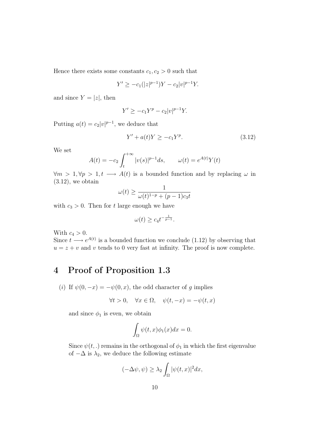Hence there exists some constants  $c_1, c_2 > 0$  such that

$$
Y' \ge -c_1(|z|^{p-1})Y - c_2|v|^{p-1}Y.
$$

and since  $Y = |z|$ , then

$$
Y' \ge -c_1 Y^p - c_2 |v|^{p-1} Y.
$$

Putting  $a(t) = c_2 |v|^{p-1}$ , we deduce that

$$
Y' + a(t)Y \ge -c_1 Y^p. \tag{3.12}
$$

We set

$$
A(t) = -c_2 \int_{t}^{+\infty} |v(s)|^{p-1} ds, \qquad \omega(t) = e^{A(t)} Y(t)
$$

 $\forall m > 1, \forall p > 1, t \longrightarrow A(t)$  is a bounded function and by replacing  $\omega$  in  $(3.12)$ , we obtain

$$
\omega(t) \ge \frac{1}{\omega(t)^{1-p} + (p-1)c_3t}
$$

with  $c_3 > 0$ . Then for t large enough we have

$$
\omega(t) \geq c_4 t^{-\frac{1}{p-1}}.
$$

With  $c_4 > 0$ .

Since  $t \longrightarrow e^{A(t)}$  is a bounded function we conclude (1.12) by observing that  $u = z + v$  and v tends to 0 very fast at infinity. The proof is now complete.

# 4 Proof of Proposition 1.3

(i) If  $\psi(0,-x) = -\psi(0,x)$ , the odd character of g implies

$$
\forall t > 0, \quad \forall x \in \Omega, \quad \psi(t, -x) = -\psi(t, x)
$$

and since  $\phi_1$  is even, we obtain

$$
\int_{\Omega} \psi(t, x)\phi_1(x)dx = 0.
$$

Since  $\psi(t,.)$  remains in the orthogonal of  $\phi_1$  in which the first eigenvalue of  $-\Delta$  is  $\lambda_2$ , we deduce the following estimate

$$
(-\Delta \psi, \psi) \ge \lambda_2 \int_{\Omega} |\psi(t, x)|^2 dx,
$$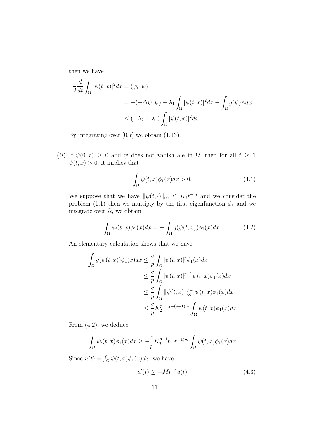then we have

$$
\frac{1}{2} \frac{d}{dt} \int_{\Omega} |\psi(t, x)|^2 dx = (\psi_t, \psi)
$$
  
= -(-\Delta \psi, \psi) + \lambda\_1 \int\_{\Omega} |\psi(t, x)|^2 dx - \int\_{\Omega} g(\psi) \psi dx  

$$
\leq (-\lambda_2 + \lambda_1) \int_{\Omega} |\psi(t, x)|^2 dx
$$

By integrating over  $[0, t]$  we obtain  $(1.13)$ .

(ii) If  $\psi(0, x) \geq 0$  and  $\psi$  does not vanish a.e in  $\Omega$ , then for all  $t \geq 1$  $\psi(t, x) > 0$ , it implies that

$$
\int_{\Omega} \psi(t, x)\phi_1(x)dx > 0.
$$
\n(4.1)

We suppose that we have  $\|\psi(t, \cdot)\|_{\infty} \leq K_2 t^{-m}$  and we consider the problem (1.1) then we multiply by the first eigenfunction  $\phi_1$  and we integrate over  $\Omega$ , we obtain

$$
\int_{\Omega} \psi_t(t,x)\phi_1(x)dx = -\int_{\Omega} g(\psi(t,x))\phi_1(x)dx.
$$
 (4.2)

An elementary calculation shows that we have

$$
\int_{\Omega} g(\psi(t, x))\phi_1(x)dx \leq \frac{c}{p} \int_{\Omega} |\psi(t, x)|^p \phi_1(x)dx
$$
  
\n
$$
\leq \frac{c}{p} \int_{\Omega} |\psi(t, x)|^{p-1} \psi(t, x)\phi_1(x)dx
$$
  
\n
$$
\leq \frac{c}{p} \int_{\Omega} ||\psi(t, x)||_{\infty}^{p-1} \psi(t, x)\phi_1(x)dx
$$
  
\n
$$
\leq \frac{c}{p} K_2^{p-1} t^{-(p-1)m} \int_{\Omega} \psi(t, x)\phi_1(x)dx
$$

From (4.2), we deduce

$$
\int_{\Omega} \psi_t(t,x)\phi_1(x)dx \geq -\frac{c}{p}K_2^{p-1}t^{-(p-1)m}\int_{\Omega} \psi(t,x)\phi_1(x)dx
$$

Since  $u(t) = \int_{\Omega} \psi(t, x) \phi_1(x) dx$ , we have

$$
u'(t) \ge -Mt^{-q}u(t) \tag{4.3}
$$